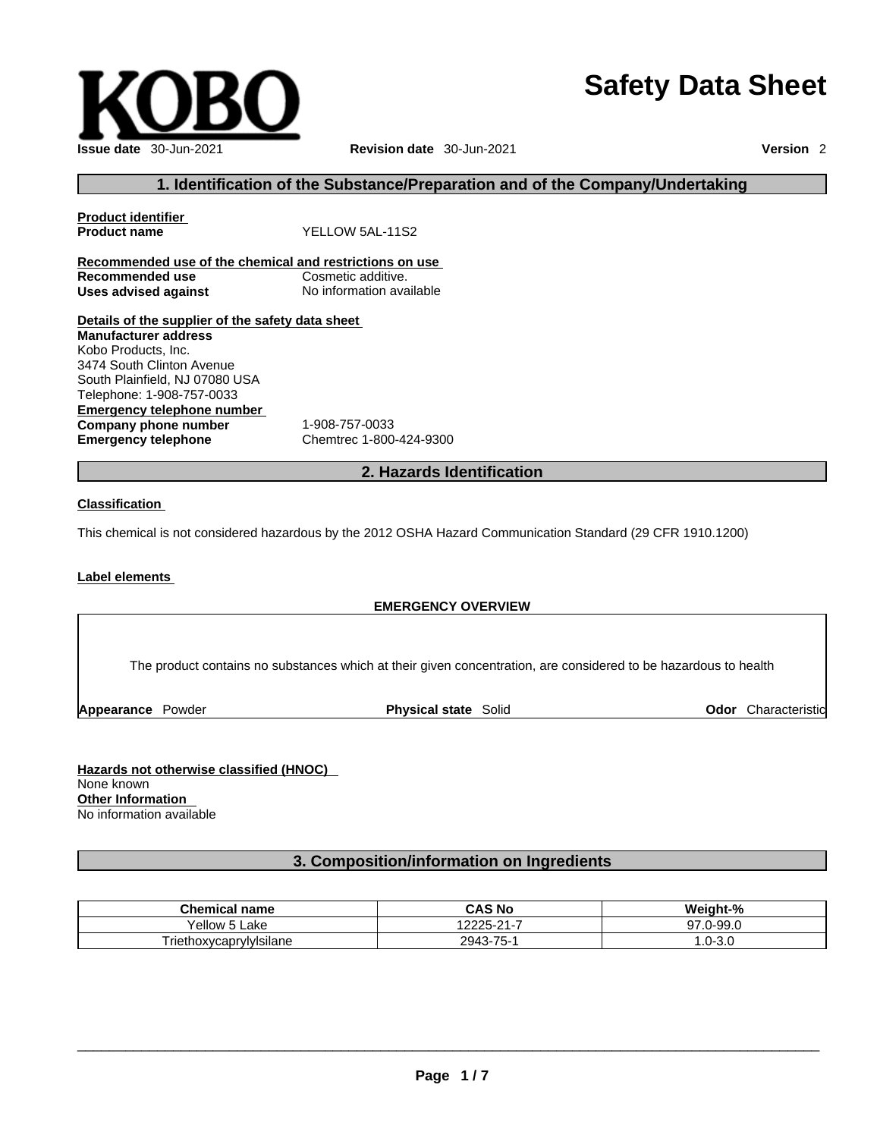# **Safety Data Sheet**



## **1. Identification of the Substance/Preparation and of the Company/Undertaking**

**Product identifier Product name** YELLOW 5AL-11S2 **Recommended use of the chemical and restrictions on use Recommended use**<br> **Uses advised against**<br> **Uses advised against**<br> **No information available Uses** advised against **Details of the supplier of the safety data sheet**

**Emergency telephone number**<br> **Company phone number** 1-908-757-0033 **Company phone number Emergency telephone** Chemtrec 1-800-424-9300 **Manufacturer address** Kobo Products, Inc. 3474 South Clinton Avenue South Plainfield, NJ 07080 USA Telephone: 1-908-757-0033

## **2. Hazards Identification**

#### **Classification**

This chemical is not considered hazardous by the 2012 OSHA Hazard Communication Standard (29 CFR 1910.1200)

## **Label elements**

#### **EMERGENCY OVERVIEW**

The product contains no substances which at their given concentration, are considered to be hazardous to health

**Appearance** Powder **Physical state** Solid

**Odor** Characteristic

**Hazards not otherwise classified (HNOC)**  None known **Other Information**  No information available

## **3. Composition/information on Ingredients**

| <b>Chemical name</b>    | CAS No                 | Weight-%             |
|-------------------------|------------------------|----------------------|
| 'ellow<br>∟ake          | -<br>12225-21<br>H = 1 | 0.99.0<br>67<br>ນ ເ  |
| Friethoxycaprylylsilane | $.3 - 75 - 1$<br>2943  | .,<br>. .U-1<br>-৩.u |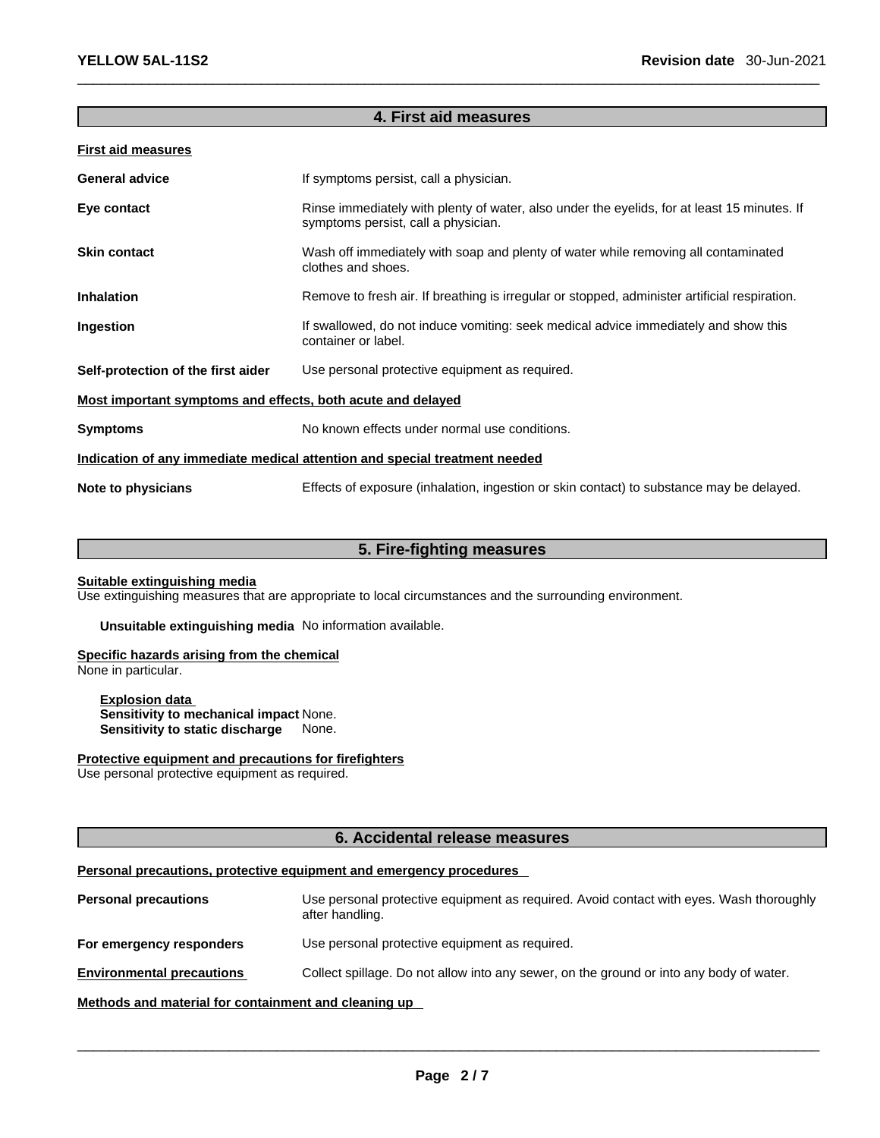## **4. First aid measures**

| <b>First aid measures</b>                                                  |                                                                                                                                    |  |  |
|----------------------------------------------------------------------------|------------------------------------------------------------------------------------------------------------------------------------|--|--|
| <b>General advice</b>                                                      | If symptoms persist, call a physician.                                                                                             |  |  |
| Eye contact                                                                | Rinse immediately with plenty of water, also under the eyelids, for at least 15 minutes. If<br>symptoms persist, call a physician. |  |  |
| <b>Skin contact</b>                                                        | Wash off immediately with soap and plenty of water while removing all contaminated<br>clothes and shoes.                           |  |  |
| <b>Inhalation</b>                                                          | Remove to fresh air. If breathing is irregular or stopped, administer artificial respiration.                                      |  |  |
| Ingestion                                                                  | If swallowed, do not induce vomiting: seek medical advice immediately and show this<br>container or label.                         |  |  |
| Self-protection of the first aider                                         | Use personal protective equipment as required.                                                                                     |  |  |
| Most important symptoms and effects, both acute and delayed                |                                                                                                                                    |  |  |
| <b>Symptoms</b>                                                            | No known effects under normal use conditions.                                                                                      |  |  |
| Indication of any immediate medical attention and special treatment needed |                                                                                                                                    |  |  |
| Note to physicians                                                         | Effects of exposure (inhalation, ingestion or skin contact) to substance may be delayed.                                           |  |  |

## **5. Fire-fighting measures**

#### **Suitable extinguishing media**

Use extinguishing measures that are appropriate to local circumstances and the surrounding environment.

**Unsuitable extinguishing media** No information available.

## **Specific hazards arising from the chemical**

None in particular.

**Explosion data Sensitivity to mechanical impact** None. **Sensitivity to static discharge** None.

## **Protective equipment and precautions for firefighters**

Use personal protective equipment as required.

## **6. Accidental release measures**

## **Personal precautions, protective equipment and emergency procedures**

**Personal precautions** Use personal protective equipment as required.Avoid contact with eyes. Wash thoroughly after handling. **For emergency responders** Use personal protective equipment as required. **Environmental precautions** Collect spillage. Do not allow into any sewer, on the ground or into any body of water. **Methods and material for containment and cleaning up**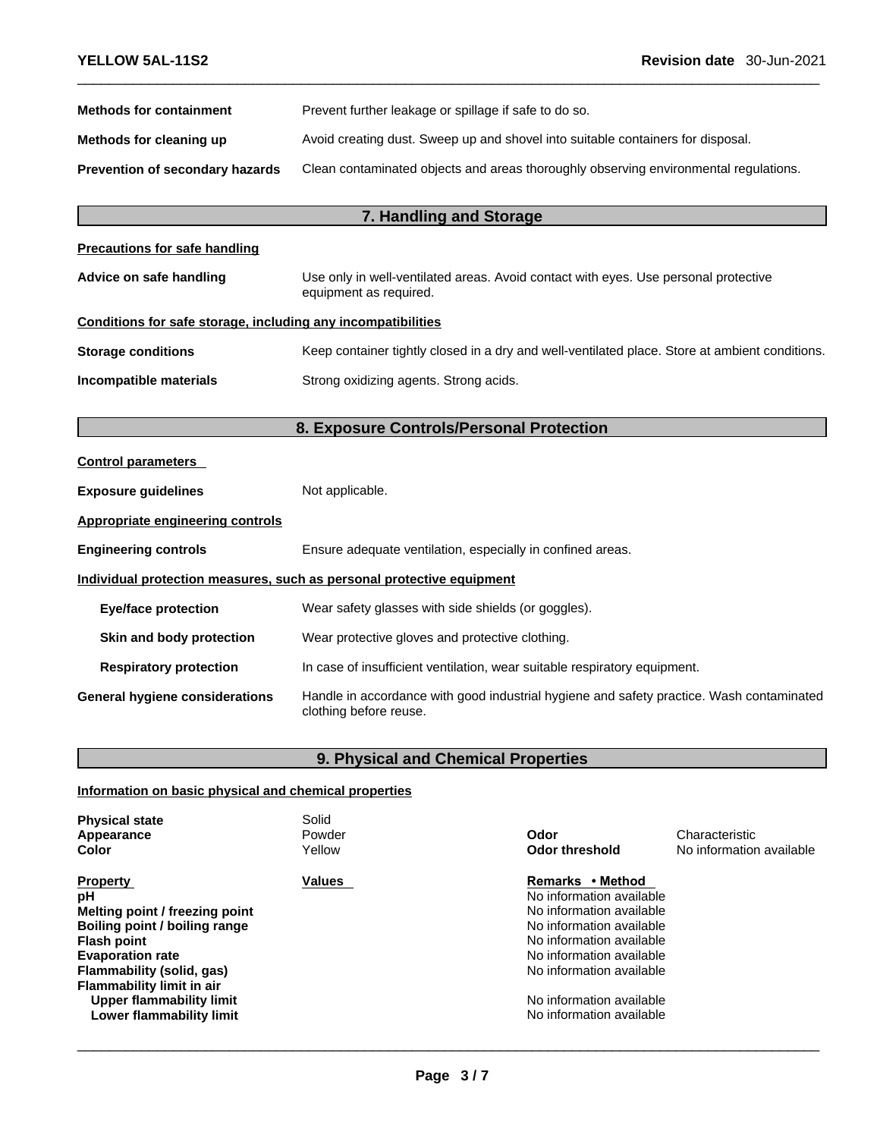| Prevent further leakage or spillage if safe to do so.                                |
|--------------------------------------------------------------------------------------|
| Avoid creating dust. Sweep up and shovel into suitable containers for disposal.      |
| Clean contaminated objects and areas thoroughly observing environmental regulations. |
|                                                                                      |

## **7. Handling and Storage**

| <b>Precautions for safe handling</b> |  |
|--------------------------------------|--|
|--------------------------------------|--|

## **Advice on safe handling** Use only in well-ventilated areas. Avoid contact with eyes. Use personal protective equipment as required.

## **Conditions for safe storage, including any incompatibilities**

| <b>Storage conditions</b> | Keep container tightly closed in a dry and well-ventilated place. Store at ambient conditions. |
|---------------------------|------------------------------------------------------------------------------------------------|
| Incompatible materials    | Strong oxidizing agents. Strong acids.                                                         |

## **8. Exposure Controls/Personal Protection**

| <b>Control parameters</b>             |                                                                                                                    |
|---------------------------------------|--------------------------------------------------------------------------------------------------------------------|
| <b>Exposure guidelines</b>            | Not applicable.                                                                                                    |
| Appropriate engineering controls      |                                                                                                                    |
| <b>Engineering controls</b>           | Ensure adequate ventilation, especially in confined areas.                                                         |
|                                       | Individual protection measures, such as personal protective equipment                                              |
| <b>Eye/face protection</b>            | Wear safety glasses with side shields (or goggles).                                                                |
| Skin and body protection              | Wear protective gloves and protective clothing.                                                                    |
| <b>Respiratory protection</b>         | In case of insufficient ventilation, wear suitable respiratory equipment.                                          |
| <b>General hygiene considerations</b> | Handle in accordance with good industrial hygiene and safety practice. Wash contaminated<br>clothing before reuse. |

## **9. Physical and Chemical Properties**

## **Information on basic physical and chemical properties**

| <b>Physical state</b><br>Appearance<br>Color                                                                                                                                                                                                                | Solid<br>Powder<br>Yellow | Odor<br><b>Odor threshold</b>                                                                                                                                                                                                                    | Characteristic<br>No information available |
|-------------------------------------------------------------------------------------------------------------------------------------------------------------------------------------------------------------------------------------------------------------|---------------------------|--------------------------------------------------------------------------------------------------------------------------------------------------------------------------------------------------------------------------------------------------|--------------------------------------------|
| <b>Property</b><br>рH<br>Melting point / freezing point<br>Boiling point / boiling range<br><b>Flash point</b><br><b>Evaporation rate</b><br>Flammability (solid, gas)<br>Flammability limit in air<br>Upper flammability limit<br>Lower flammability limit | <b>Values</b>             | Remarks • Method<br>No information available<br>No information available<br>No information available<br>No information available<br>No information available<br>No information available<br>No information available<br>No information available |                                            |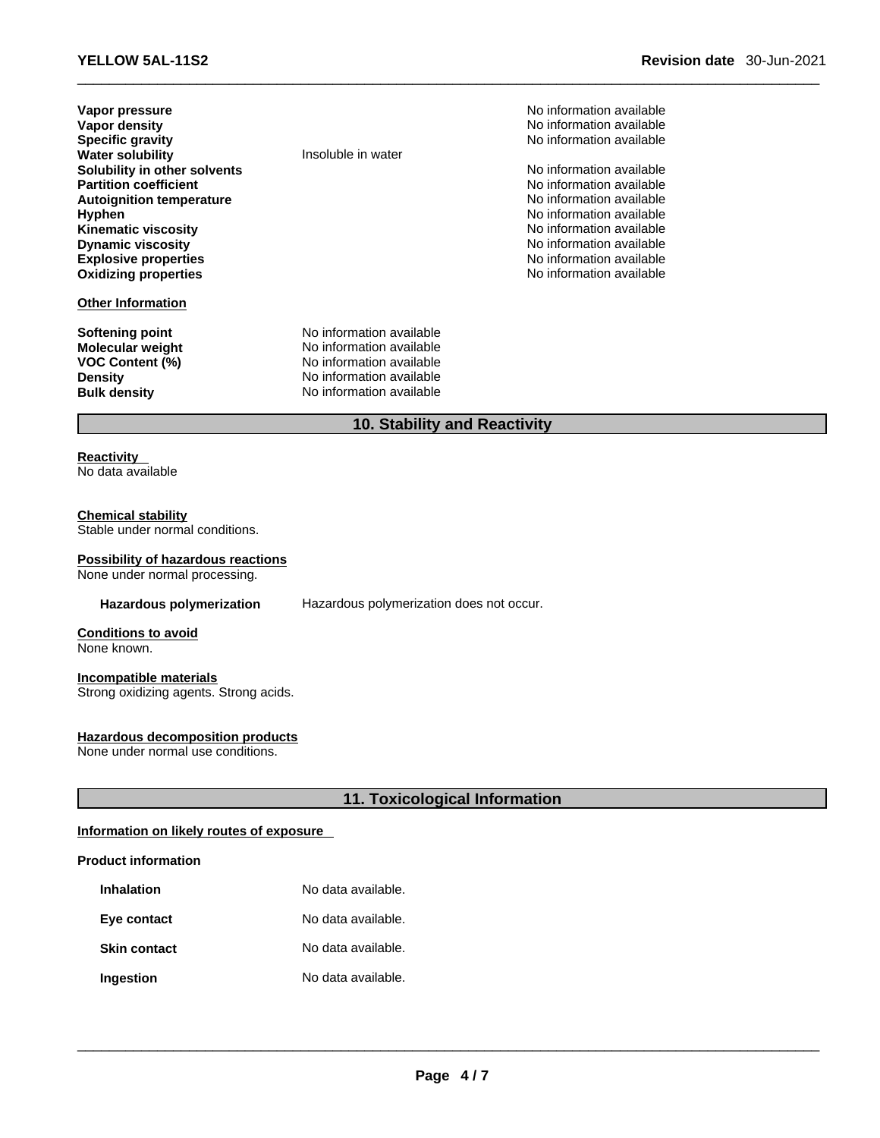| Vapor pressure<br><b>Vapor density</b><br><b>Specific gravity</b><br><b>Water solubility</b><br>Solubility in other solvents<br><b>Partition coefficient</b><br><b>Autoignition temperature</b><br><b>Hyphen</b><br><b>Kinematic viscosity</b><br><b>Dynamic viscosity</b><br><b>Explosive properties</b><br><b>Oxidizing properties</b> | Insoluble in water                                                                                                                       | No information available<br>No information available<br>No information available<br>No information available<br>No information available<br>No information available<br>No information available<br>No information available<br>No information available<br>No information available<br>No information available |
|------------------------------------------------------------------------------------------------------------------------------------------------------------------------------------------------------------------------------------------------------------------------------------------------------------------------------------------|------------------------------------------------------------------------------------------------------------------------------------------|------------------------------------------------------------------------------------------------------------------------------------------------------------------------------------------------------------------------------------------------------------------------------------------------------------------|
| <b>Other Information</b>                                                                                                                                                                                                                                                                                                                 |                                                                                                                                          |                                                                                                                                                                                                                                                                                                                  |
| Softening point<br><b>Molecular weight</b><br><b>VOC Content (%)</b><br><b>Density</b><br><b>Bulk density</b>                                                                                                                                                                                                                            | No information available<br>No information available<br>No information available<br>No information available<br>No information available |                                                                                                                                                                                                                                                                                                                  |
|                                                                                                                                                                                                                                                                                                                                          | 10. Stability and Reactivity                                                                                                             |                                                                                                                                                                                                                                                                                                                  |

## **Reactivity**

No data available

## **Chemical stability**

Stable under normal conditions.

#### **Possibility of hazardous reactions**

None under normal processing.

**Hazardous polymerization** Hazardous polymerization does not occur.

**Conditions to avoid** None known.

#### **Incompatible materials** Strong oxidizing agents. Strong acids.

## **Hazardous decomposition products**

None under normal use conditions.

## **11. Toxicological Information**

## **Information on likely routes of exposure**

## **Product information**

| <b>Inhalation</b>   | No data available. |
|---------------------|--------------------|
| Eye contact         | No data available. |
| <b>Skin contact</b> | No data available. |
| Ingestion           | No data available. |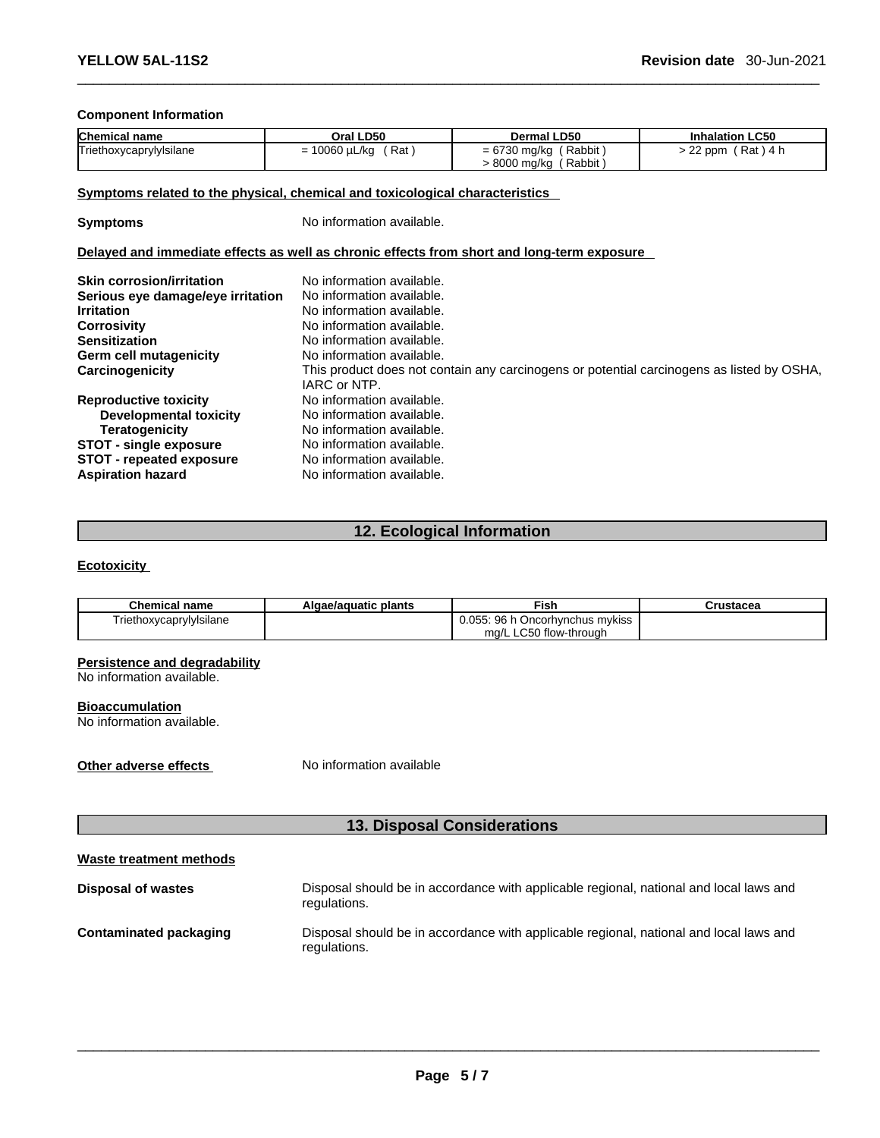## **Component Information**

| <b>Chemical name</b>    | Oral LD50                 | <b>Dermal LD50</b>         | <b>Inhalation LC50</b>  |
|-------------------------|---------------------------|----------------------------|-------------------------|
| Triethoxycaprylylsilane | Rat<br>$= 10060 \mu L/kg$ | Rabbit<br>= 6730 mg/kg ( " | > 22 ppm<br>′ Rat ) 4 h |
|                         |                           | > 8000 mg/kg (Rabbit)      |                         |

#### **Symptoms related to the physical, chemical and toxicological characteristics**

**Symptoms** No information available.

## **Delayed and immediate effects as well as chronic effects from short and long-term exposure**

| <b>Skin corrosion/irritation</b><br>Serious eye damage/eye irritation<br><b>Irritation</b><br><b>Corrosivity</b> | No information available.<br>No information available.<br>No information available.<br>No information available. |
|------------------------------------------------------------------------------------------------------------------|------------------------------------------------------------------------------------------------------------------|
| <b>Sensitization</b>                                                                                             | No information available.                                                                                        |
| <b>Germ cell mutagenicity</b>                                                                                    | No information available.                                                                                        |
| Carcinogenicity                                                                                                  | This product does not contain any carcinogens or potential carcinogens as listed by OSHA,<br>IARC or NTP.        |
| <b>Reproductive toxicity</b>                                                                                     | No information available.                                                                                        |
| Developmental toxicity                                                                                           | No information available.                                                                                        |
| Teratogenicity                                                                                                   | No information available.                                                                                        |
| <b>STOT - single exposure</b>                                                                                    | No information available.                                                                                        |
| <b>STOT - repeated exposure</b>                                                                                  | No information available.                                                                                        |
| <b>Aspiration hazard</b>                                                                                         | No information available.                                                                                        |

## **12. Ecological Information**

## **Ecotoxicity**

| <b>Chemical name</b>    | Algae/aguatic plants | Fish                            | Crustacea |
|-------------------------|----------------------|---------------------------------|-----------|
| Triethoxycaprylylsilane |                      | 0.055: 96 h Oncorhynchus mykiss |           |
|                         |                      | mg/L LC50 flow-through          |           |

## **Persistence and degradability**

No information available.

#### **Bioaccumulation**

No information available.

**Other adverse effects** No information available

## **13. Disposal Considerations**

|--|

| <b>Disposal of wastes</b>     | Disposal should be in accordance with applicable regional, national and local laws and<br>regulations. |
|-------------------------------|--------------------------------------------------------------------------------------------------------|
| <b>Contaminated packaging</b> | Disposal should be in accordance with applicable regional, national and local laws and                 |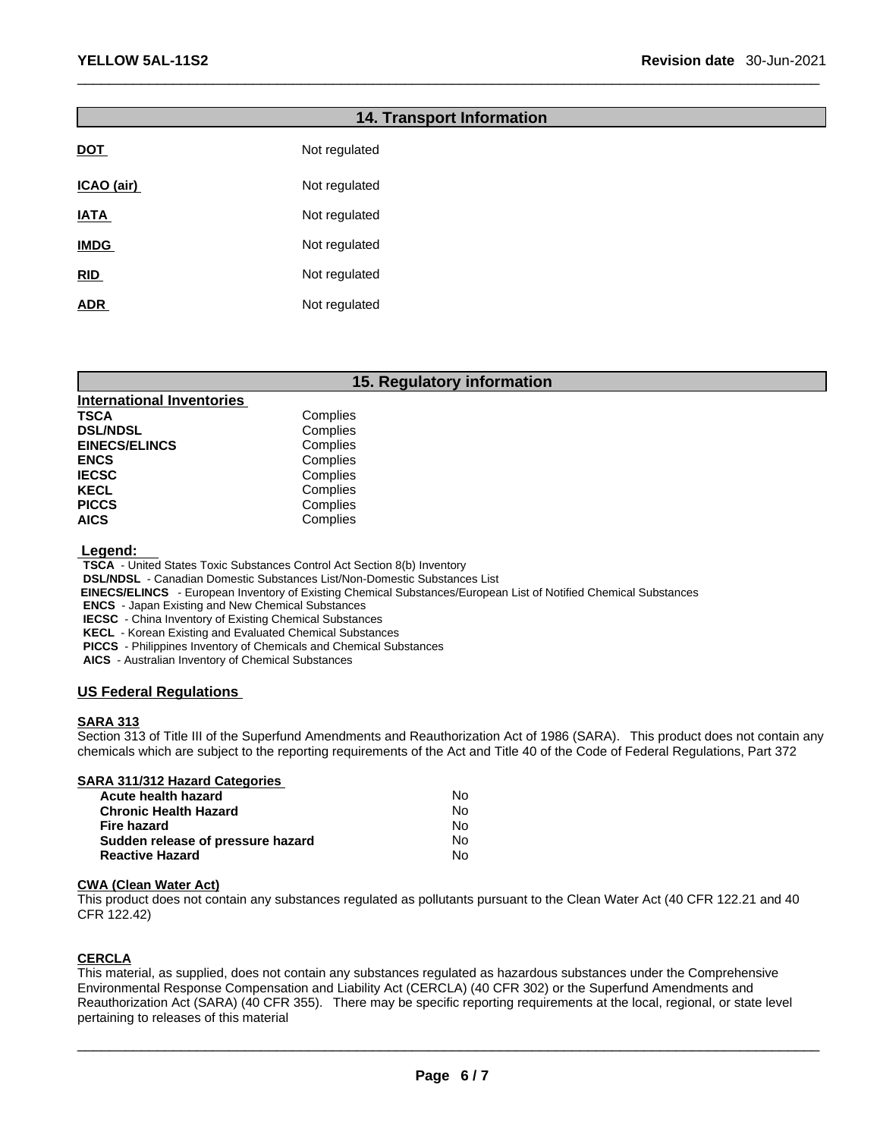## **14. Transport Information**

| Not regulated |
|---------------|
| Not regulated |
| Not regulated |
| Not regulated |
| Not regulated |
| Not regulated |
|               |

## **15. Regulatory information**

| <b>International Inventories</b> |          |
|----------------------------------|----------|
| TSCA                             | Complies |
| <b>DSL/NDSL</b>                  | Complies |
| <b>EINECS/ELINCS</b>             | Complies |
| ENCS                             | Complies |
| IECSC                            | Complies |
| KECL                             | Complies |
| <b>PICCS</b>                     | Complies |
| AICS                             | Complies |

 **Legend:** 

**TSCA** - United States Toxic Substances Control Act Section 8(b) Inventory

**DSL/NDSL** - Canadian Domestic Substances List/Non-Domestic Substances List

 **EINECS/ELINCS** - European Inventory of Existing Chemical Substances/European List of Notified Chemical Substances

**ENCS** - Japan Existing and New Chemical Substances

**IECSC** - China Inventory of Existing Chemical Substances

**KECL** - Korean Existing and Evaluated Chemical Substances

**PICCS** - Philippines Inventory of Chemicals and Chemical Substances

**AICS** - Australian Inventory of Chemical Substances

## **US Federal Regulations**

## **SARA 313**

Section 313 of Title III of the Superfund Amendments and Reauthorization Act of 1986 (SARA). This product does not contain any chemicals which are subject to the reporting requirements of the Act and Title 40 of the Code of Federal Regulations, Part 372

## **SARA 311/312 Hazard Categories**

| Acute health hazard               | <b>No</b> |
|-----------------------------------|-----------|
| <b>Chronic Health Hazard</b>      | Nο        |
| Fire hazard                       | N٥        |
| Sudden release of pressure hazard | No.       |
| <b>Reactive Hazard</b>            | No        |

#### **CWA** (Clean Water Act)

This product does not contain any substances regulated as pollutants pursuant to the Clean Water Act (40 CFR 122.21 and 40 CFR 122.42)

#### **CERCLA**

This material, as supplied, does not contain any substances regulated as hazardous substances under the Comprehensive Environmental Response Compensation and Liability Act (CERCLA) (40 CFR 302) or the Superfund Amendments and Reauthorization Act (SARA) (40 CFR 355). There may be specific reporting requirements at the local, regional, or state level pertaining to releases of this material